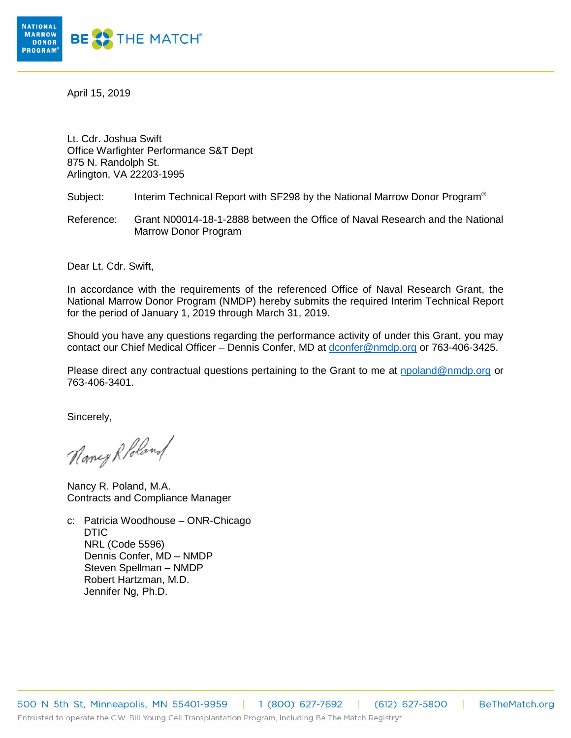

April 15, 2019

Lt. Cdr. Joshua Swift Office Warfighter Performance S&T Dept 875 N. Randolph St. Arlington, VA 22203-1995

Subject: Interim Technical Report with SF298 by the National Marrow Donor Program<sup>®</sup>

Reference: Grant N00014-18-1-2888 between the Office of Naval Research and the National Marrow Donor Program

Dear Lt. Cdr. Swift,

In accordance with the requirements of the referenced Office of Naval Research Grant, the National Marrow Donor Program (NMDP) hereby submits the required Interim Technical Report for the period of January 1, 2019 through March 31, 2019.

Should you have any questions regarding the performance activity of under this Grant, you may contact our Chief Medical Officer – Dennis Confer, MD at [dconfer@nmdp.org](mailto:dconfer@nmdp.org) or 763-406-3425.

Please direct any contractual questions pertaining to the Grant to me at [npoland@nmdp.org](mailto:npoland@nmdp.org) or 763-406-3401.

Sincerely,

Nancy Robland

Nancy R. Poland, M.A. Contracts and Compliance Manager

c: Patricia Woodhouse – ONR-Chicago DTIC NRL (Code 5596) Dennis Confer, MD – NMDP Steven Spellman – NMDP Robert Hartzman, M.D. Jennifer Ng, Ph.D.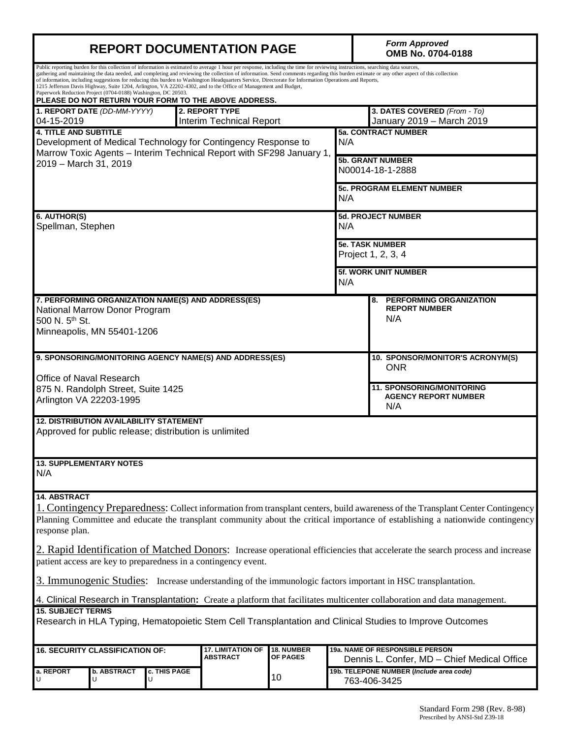| <b>REPORT DOCUMENTATION PAGE</b>                                                                                                                                                                                                                                                                                                                                                                                                                                                                                                                                                                                                                                                                                                                                                   |                                                                           |                   |  |    |                                                                     | <b>Form Approved</b><br>OMB No. 0704-0188                                             |  |
|------------------------------------------------------------------------------------------------------------------------------------------------------------------------------------------------------------------------------------------------------------------------------------------------------------------------------------------------------------------------------------------------------------------------------------------------------------------------------------------------------------------------------------------------------------------------------------------------------------------------------------------------------------------------------------------------------------------------------------------------------------------------------------|---------------------------------------------------------------------------|-------------------|--|----|---------------------------------------------------------------------|---------------------------------------------------------------------------------------|--|
| Public reporting burden for this collection of information is estimated to average 1 hour per response, including the time for reviewing instructions, searching data sources,<br>gathering and maintaining the data needed, and completing and reviewing the collection of information. Send comments regarding this burden estimate or any other aspect of this collection<br>of information, including suggestions for reducing this burden to Washington Headquarters Service, Directorate for Information Operations and Reports,<br>1215 Jefferson Davis Highway, Suite 1204, Arlington, VA 22202-4302, and to the Office of Management and Budget,<br>Paperwork Reduction Project (0704-0188) Washington, DC 20503.<br>PLEASE DO NOT RETURN YOUR FORM TO THE ABOVE ADDRESS. |                                                                           |                   |  |    |                                                                     |                                                                                       |  |
| 04-15-2019                                                                                                                                                                                                                                                                                                                                                                                                                                                                                                                                                                                                                                                                                                                                                                         | 1. REPORT DATE (DD-MM-YYYY)<br>2. REPORT TYPE<br>Interim Technical Report |                   |  |    |                                                                     | 3. DATES COVERED (From - To)<br>January 2019 - March 2019                             |  |
| <b>4. TITLE AND SUBTITLE</b><br>Development of Medical Technology for Contingency Response to<br>Marrow Toxic Agents - Interim Technical Report with SF298 January 1,                                                                                                                                                                                                                                                                                                                                                                                                                                                                                                                                                                                                              |                                                                           |                   |  |    | <b>5a. CONTRACT NUMBER</b><br>N/A                                   |                                                                                       |  |
| 2019 - March 31, 2019<br>N/A                                                                                                                                                                                                                                                                                                                                                                                                                                                                                                                                                                                                                                                                                                                                                       |                                                                           |                   |  |    |                                                                     | <b>5b. GRANT NUMBER</b><br>N00014-18-1-2888                                           |  |
|                                                                                                                                                                                                                                                                                                                                                                                                                                                                                                                                                                                                                                                                                                                                                                                    |                                                                           |                   |  |    |                                                                     | <b>5c. PROGRAM ELEMENT NUMBER</b>                                                     |  |
| 6. AUTHOR(S)<br>Spellman, Stephen<br>N/A<br>N/A                                                                                                                                                                                                                                                                                                                                                                                                                                                                                                                                                                                                                                                                                                                                    |                                                                           |                   |  |    |                                                                     | 5d. PROJECT NUMBER                                                                    |  |
|                                                                                                                                                                                                                                                                                                                                                                                                                                                                                                                                                                                                                                                                                                                                                                                    |                                                                           |                   |  |    |                                                                     | <b>5e. TASK NUMBER</b><br>Project 1, 2, 3, 4                                          |  |
|                                                                                                                                                                                                                                                                                                                                                                                                                                                                                                                                                                                                                                                                                                                                                                                    |                                                                           |                   |  |    |                                                                     | 5f. WORK UNIT NUMBER                                                                  |  |
| 7. PERFORMING ORGANIZATION NAME(S) AND ADDRESS(ES)<br>National Marrow Donor Program<br>500 N. 5th St.<br>Minneapolis, MN 55401-1206                                                                                                                                                                                                                                                                                                                                                                                                                                                                                                                                                                                                                                                |                                                                           |                   |  |    | <b>PERFORMING ORGANIZATION</b><br>8.<br><b>REPORT NUMBER</b><br>N/A |                                                                                       |  |
| 9. SPONSORING/MONITORING AGENCY NAME(S) AND ADDRESS(ES)<br>Office of Naval Research                                                                                                                                                                                                                                                                                                                                                                                                                                                                                                                                                                                                                                                                                                |                                                                           |                   |  |    |                                                                     | 10. SPONSOR/MONITOR'S ACRONYM(S)<br><b>ONR</b>                                        |  |
| 875 N. Randolph Street, Suite 1425<br>Arlington VA 22203-1995                                                                                                                                                                                                                                                                                                                                                                                                                                                                                                                                                                                                                                                                                                                      |                                                                           |                   |  |    |                                                                     | <b>11. SPONSORING/MONITORING</b><br><b>AGENCY REPORT NUMBER</b><br>N/A                |  |
| <b>12. DISTRIBUTION AVAILABILITY STATEMENT</b><br>Approved for public release; distribution is unlimited                                                                                                                                                                                                                                                                                                                                                                                                                                                                                                                                                                                                                                                                           |                                                                           |                   |  |    |                                                                     |                                                                                       |  |
| <b>13. SUPPLEMENTARY NOTES</b><br>N/A                                                                                                                                                                                                                                                                                                                                                                                                                                                                                                                                                                                                                                                                                                                                              |                                                                           |                   |  |    |                                                                     |                                                                                       |  |
| <b>14. ABSTRACT</b><br>1. Contingency Preparedness: Collect information from transplant centers, build awareness of the Transplant Center Contingency<br>Planning Committee and educate the transplant community about the critical importance of establishing a nationwide contingency<br>response plan.<br>2. Rapid Identification of Matched Donors: Increase operational efficiencies that accelerate the search process and increase<br>patient access are key to preparedness in a contingency event.<br>3. Immunogenic Studies: Increase understanding of the immunologic factors important in HSC transplantation.                                                                                                                                                         |                                                                           |                   |  |    |                                                                     |                                                                                       |  |
| 4. Clinical Research in Transplantation: Create a platform that facilitates multicenter collaboration and data management.                                                                                                                                                                                                                                                                                                                                                                                                                                                                                                                                                                                                                                                         |                                                                           |                   |  |    |                                                                     |                                                                                       |  |
| <b>15. SUBJECT TERMS</b><br>Research in HLA Typing, Hematopoietic Stem Cell Transplantation and Clinical Studies to Improve Outcomes                                                                                                                                                                                                                                                                                                                                                                                                                                                                                                                                                                                                                                               |                                                                           |                   |  |    |                                                                     |                                                                                       |  |
| <b>16. SECURITY CLASSIFICATION OF:</b><br><b>17. LIMITATION OF</b><br><b>18. NUMBER</b><br><b>ABSTRACT</b><br><b>OF PAGES</b>                                                                                                                                                                                                                                                                                                                                                                                                                                                                                                                                                                                                                                                      |                                                                           |                   |  |    |                                                                     | <b>19a. NAME OF RESPONSIBLE PERSON</b><br>Dennis L. Confer, MD - Chief Medical Office |  |
| a. REPORT                                                                                                                                                                                                                                                                                                                                                                                                                                                                                                                                                                                                                                                                                                                                                                          | <b>b. ABSTRACT</b><br>U                                                   | c. THIS PAGE<br>U |  | 10 |                                                                     | 19b. TELEPONE NUMBER (Include area code)<br>763-406-3425                              |  |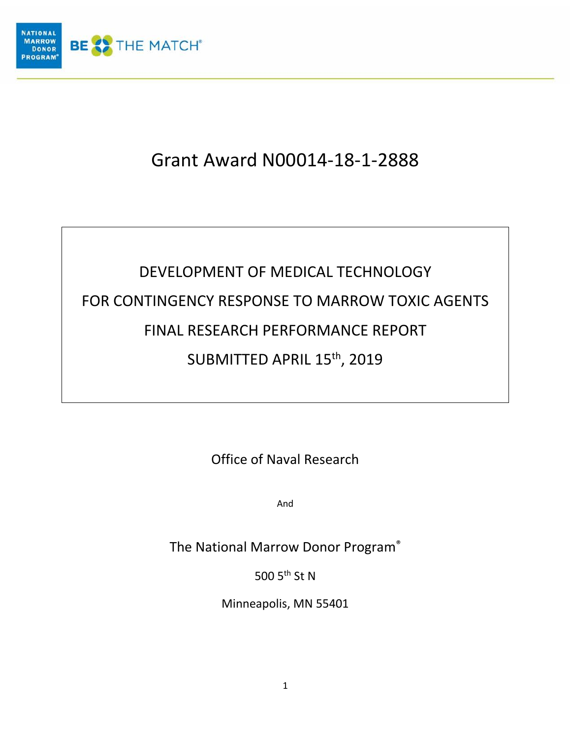

# Grant Award N00014-18-1-2888

# DEVELOPMENT OF MEDICAL TECHNOLOGY FOR CONTINGENCY RESPONSE TO MARROW TOXIC AGENTS FINAL RESEARCH PERFORMANCE REPORT SUBMITTED APRIL 15th, 2019

Office of Naval Research

And

The National Marrow Donor Program®

500 5<sup>th</sup> St N

Minneapolis, MN 55401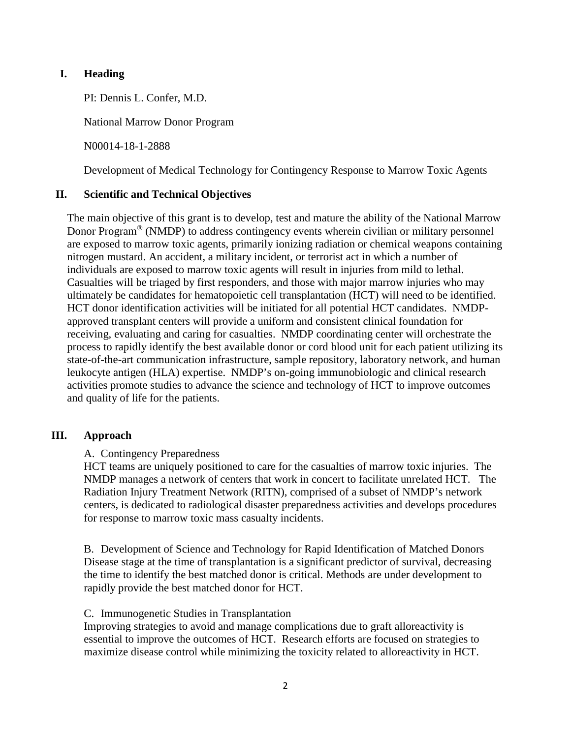#### **I. Heading**

PI: Dennis L. Confer, M.D.

National Marrow Donor Program

N00014-18-1-2888

Development of Medical Technology for Contingency Response to Marrow Toxic Agents

#### **II. Scientific and Technical Objectives**

The main objective of this grant is to develop, test and mature the ability of the National Marrow Donor Program® (NMDP) to address contingency events wherein civilian or military personnel are exposed to marrow toxic agents, primarily ionizing radiation or chemical weapons containing nitrogen mustard. An accident, a military incident, or terrorist act in which a number of individuals are exposed to marrow toxic agents will result in injuries from mild to lethal. Casualties will be triaged by first responders, and those with major marrow injuries who may ultimately be candidates for hematopoietic cell transplantation (HCT) will need to be identified. HCT donor identification activities will be initiated for all potential HCT candidates. NMDPapproved transplant centers will provide a uniform and consistent clinical foundation for receiving, evaluating and caring for casualties. NMDP coordinating center will orchestrate the process to rapidly identify the best available donor or cord blood unit for each patient utilizing its state-of-the-art communication infrastructure, sample repository, laboratory network, and human leukocyte antigen (HLA) expertise. NMDP's on-going immunobiologic and clinical research activities promote studies to advance the science and technology of HCT to improve outcomes and quality of life for the patients.

#### **III. Approach**

#### A. Contingency Preparedness

HCT teams are uniquely positioned to care for the casualties of marrow toxic injuries. The NMDP manages a network of centers that work in concert to facilitate unrelated HCT. The Radiation Injury Treatment Network (RITN), comprised of a subset of NMDP's network centers, is dedicated to radiological disaster preparedness activities and develops procedures for response to marrow toxic mass casualty incidents.

B. Development of Science and Technology for Rapid Identification of Matched Donors Disease stage at the time of transplantation is a significant predictor of survival, decreasing the time to identify the best matched donor is critical. Methods are under development to rapidly provide the best matched donor for HCT.

#### C. Immunogenetic Studies in Transplantation

Improving strategies to avoid and manage complications due to graft alloreactivity is essential to improve the outcomes of HCT. Research efforts are focused on strategies to maximize disease control while minimizing the toxicity related to alloreactivity in HCT.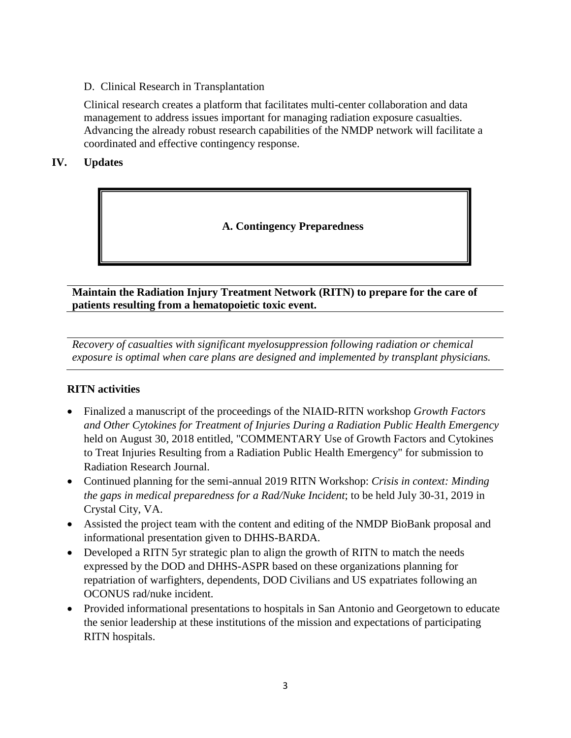#### D. Clinical Research in Transplantation

Clinical research creates a platform that facilitates multi-center collaboration and data management to address issues important for managing radiation exposure casualties. Advancing the already robust research capabilities of the NMDP network will facilitate a coordinated and effective contingency response.

#### **IV. Updates**

# **A. Contingency Preparedness**

#### **Maintain the Radiation Injury Treatment Network (RITN) to prepare for the care of patients resulting from a hematopoietic toxic event.**

*Recovery of casualties with significant myelosuppression following radiation or chemical exposure is optimal when care plans are designed and implemented by transplant physicians.*

#### **RITN activities**

- Finalized a manuscript of the proceedings of the NIAID-RITN workshop *Growth Factors and Other Cytokines for Treatment of Injuries During a Radiation Public Health Emergency* held on August 30, 2018 entitled, "COMMENTARY Use of Growth Factors and Cytokines to Treat Injuries Resulting from a Radiation Public Health Emergency" for submission to Radiation Research Journal.
- Continued planning for the semi-annual 2019 RITN Workshop: *Crisis in context: Minding the gaps in medical preparedness for a Rad/Nuke Incident*; to be held July 30-31, 2019 in Crystal City, VA.
- Assisted the project team with the content and editing of the NMDP BioBank proposal and informational presentation given to DHHS-BARDA.
- Developed a RITN 5yr strategic plan to align the growth of RITN to match the needs expressed by the DOD and DHHS-ASPR based on these organizations planning for repatriation of warfighters, dependents, DOD Civilians and US expatriates following an OCONUS rad/nuke incident.
- Provided informational presentations to hospitals in San Antonio and Georgetown to educate the senior leadership at these institutions of the mission and expectations of participating RITN hospitals.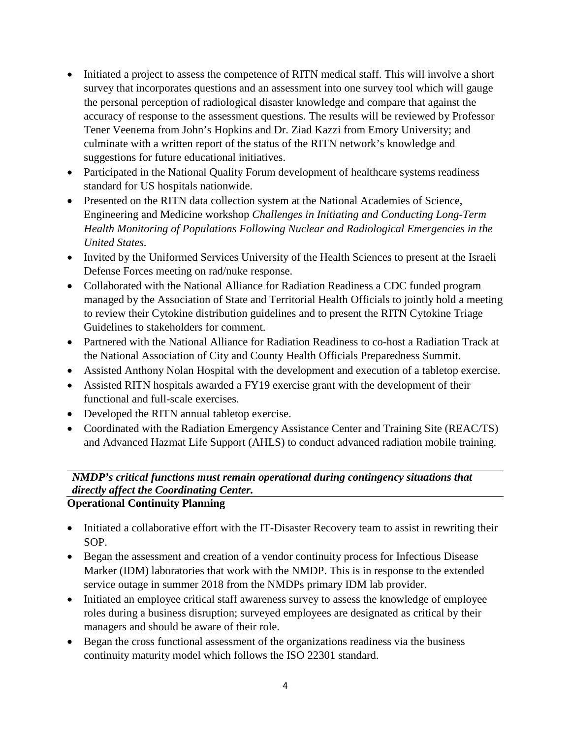- Initiated a project to assess the competence of RITN medical staff. This will involve a short survey that incorporates questions and an assessment into one survey tool which will gauge the personal perception of radiological disaster knowledge and compare that against the accuracy of response to the assessment questions. The results will be reviewed by Professor Tener Veenema from John's Hopkins and Dr. Ziad Kazzi from Emory University; and culminate with a written report of the status of the RITN network's knowledge and suggestions for future educational initiatives.
- Participated in the National Quality Forum development of healthcare systems readiness standard for US hospitals nationwide.
- Presented on the RITN data collection system at the National Academies of Science, Engineering and Medicine workshop *Challenges in Initiating and Conducting Long-Term Health Monitoring of Populations Following Nuclear and Radiological Emergencies in the United States.*
- Invited by the Uniformed Services University of the Health Sciences to present at the Israeli Defense Forces meeting on rad/nuke response.
- Collaborated with the National Alliance for Radiation Readiness a CDC funded program managed by the Association of State and Territorial Health Officials to jointly hold a meeting to review their Cytokine distribution guidelines and to present the RITN Cytokine Triage Guidelines to stakeholders for comment.
- Partnered with the National Alliance for Radiation Readiness to co-host a Radiation Track at the National Association of City and County Health Officials Preparedness Summit.
- Assisted Anthony Nolan Hospital with the development and execution of a tabletop exercise.
- Assisted RITN hospitals awarded a FY19 exercise grant with the development of their functional and full-scale exercises.
- Developed the RITN annual tabletop exercise.
- Coordinated with the Radiation Emergency Assistance Center and Training Site (REAC/TS) and Advanced Hazmat Life Support (AHLS) to conduct advanced radiation mobile training.

# *NMDP's critical functions must remain operational during contingency situations that directly affect the Coordinating Center.*

# **Operational Continuity Planning**

- Initiated a collaborative effort with the IT-Disaster Recovery team to assist in rewriting their SOP.
- Began the assessment and creation of a vendor continuity process for Infectious Disease Marker (IDM) laboratories that work with the NMDP. This is in response to the extended service outage in summer 2018 from the NMDPs primary IDM lab provider.
- Initiated an employee critical staff awareness survey to assess the knowledge of employee roles during a business disruption; surveyed employees are designated as critical by their managers and should be aware of their role.
- Began the cross functional assessment of the organizations readiness via the business continuity maturity model which follows the ISO 22301 standard.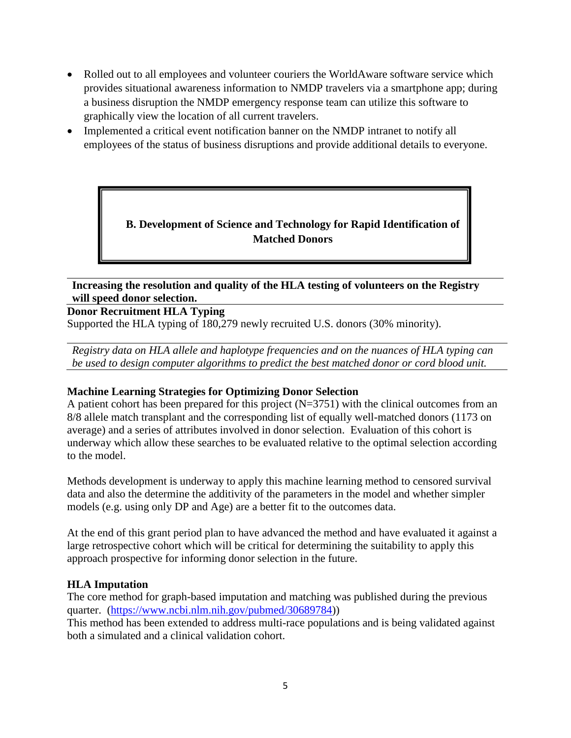- Rolled out to all employees and volunteer couriers the WorldAware software service which provides situational awareness information to NMDP travelers via a smartphone app; during a business disruption the NMDP emergency response team can utilize this software to graphically view the location of all current travelers.
- Implemented a critical event notification banner on the NMDP intranet to notify all employees of the status of business disruptions and provide additional details to everyone.

# **B. Development of Science and Technology for Rapid Identification of Matched Donors**

**Increasing the resolution and quality of the HLA testing of volunteers on the Registry will speed donor selection.**

#### **Donor Recruitment HLA Typing**

Supported the HLA typing of 180,279 newly recruited U.S. donors (30% minority).

*Registry data on HLA allele and haplotype frequencies and on the nuances of HLA typing can be used to design computer algorithms to predict the best matched donor or cord blood unit.* 

#### **Machine Learning Strategies for Optimizing Donor Selection**

A patient cohort has been prepared for this project (N=3751) with the clinical outcomes from an 8/8 allele match transplant and the corresponding list of equally well-matched donors (1173 on average) and a series of attributes involved in donor selection. Evaluation of this cohort is underway which allow these searches to be evaluated relative to the optimal selection according to the model.

Methods development is underway to apply this machine learning method to censored survival data and also the determine the additivity of the parameters in the model and whether simpler models (e.g. using only DP and Age) are a better fit to the outcomes data.

At the end of this grant period plan to have advanced the method and have evaluated it against a large retrospective cohort which will be critical for determining the suitability to apply this approach prospective for informing donor selection in the future.

#### **HLA Imputation**

The core method for graph-based imputation and matching was published during the previous quarter. [\(https://www.ncbi.nlm.nih.gov/pubmed/30689784\)](https://www.ncbi.nlm.nih.gov/pubmed/30689784))

This method has been extended to address multi-race populations and is being validated against both a simulated and a clinical validation cohort.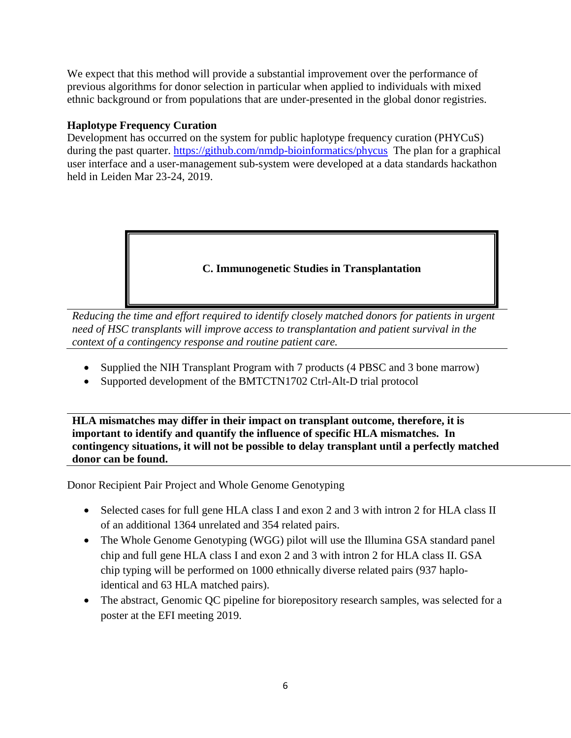We expect that this method will provide a substantial improvement over the performance of previous algorithms for donor selection in particular when applied to individuals with mixed ethnic background or from populations that are under-presented in the global donor registries.

#### **Haplotype Frequency Curation**

Development has occurred on the system for public haplotype frequency curation (PHYCuS) during the past quarter.<https://github.com/nmdp-bioinformatics/phycus>The plan for a graphical user interface and a user-management sub-system were developed at a data standards hackathon held in Leiden Mar 23-24, 2019.

# **C. Immunogenetic Studies in Transplantation**

*Reducing the time and effort required to identify closely matched donors for patients in urgent need of HSC transplants will improve access to transplantation and patient survival in the context of a contingency response and routine patient care.*

- Supplied the NIH Transplant Program with 7 products (4 PBSC and 3 bone marrow)
- Supported development of the BMTCTN1702 Ctrl-Alt-D trial protocol

**HLA mismatches may differ in their impact on transplant outcome, therefore, it is important to identify and quantify the influence of specific HLA mismatches. In contingency situations, it will not be possible to delay transplant until a perfectly matched donor can be found.**

Donor Recipient Pair Project and Whole Genome Genotyping

- Selected cases for full gene HLA class I and exon 2 and 3 with intron 2 for HLA class II of an additional 1364 unrelated and 354 related pairs.
- The Whole Genome Genotyping (WGG) pilot will use the Illumina GSA standard panel chip and full gene HLA class I and exon 2 and 3 with intron 2 for HLA class II. GSA chip typing will be performed on 1000 ethnically diverse related pairs (937 haploidentical and 63 HLA matched pairs).
- The abstract, Genomic QC pipeline for biorepository research samples, was selected for a poster at the EFI meeting 2019.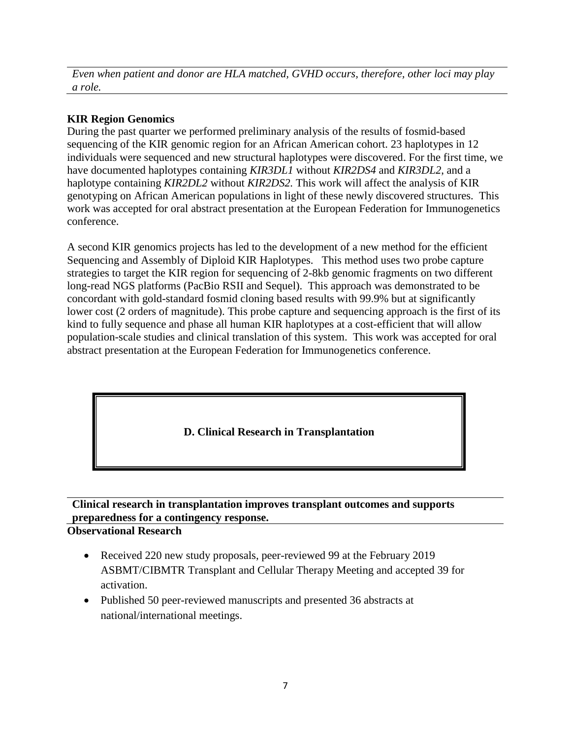*Even when patient and donor are HLA matched, GVHD occurs, therefore, other loci may play a role.*

# **KIR Region Genomics**

During the past quarter we performed preliminary analysis of the results of fosmid-based sequencing of the KIR genomic region for an African American cohort. 23 haplotypes in 12 individuals were sequenced and new structural haplotypes were discovered. For the first time, we have documented haplotypes containing *KIR3DL1* without *KIR2DS4* and *KIR3DL2*, and a haplotype containing *KIR2DL2* without *KIR2DS2.* This work will affect the analysis of KIR genotyping on African American populations in light of these newly discovered structures. This work was accepted for oral abstract presentation at the European Federation for Immunogenetics conference.

A second KIR genomics projects has led to the development of a new method for the efficient Sequencing and Assembly of Diploid KIR Haplotypes. This method uses two probe capture strategies to target the KIR region for sequencing of 2-8kb genomic fragments on two different long-read NGS platforms (PacBio RSII and Sequel). This approach was demonstrated to be concordant with gold-standard fosmid cloning based results with 99.9% but at significantly lower cost (2 orders of magnitude). This probe capture and sequencing approach is the first of its kind to fully sequence and phase all human KIR haplotypes at a cost-efficient that will allow population-scale studies and clinical translation of this system. This work was accepted for oral abstract presentation at the European Federation for Immunogenetics conference.

# **D. Clinical Research in Transplantation**

# **Clinical research in transplantation improves transplant outcomes and supports preparedness for a contingency response.**

# **Observational Research**

- Received 220 new study proposals, peer-reviewed 99 at the February 2019 ASBMT/CIBMTR Transplant and Cellular Therapy Meeting and accepted 39 for activation.
- Published 50 peer-reviewed manuscripts and presented 36 abstracts at national/international meetings.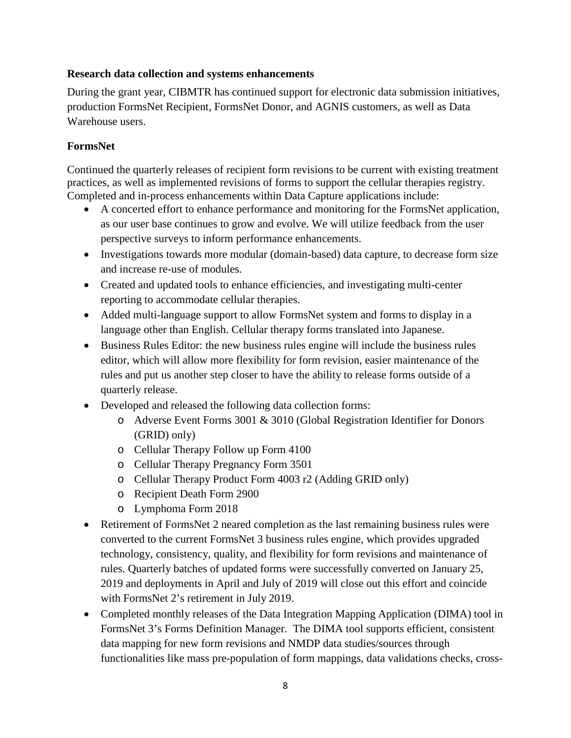#### **Research data collection and systems enhancements**

During the grant year, CIBMTR has continued support for electronic data submission initiatives, production FormsNet Recipient, FormsNet Donor, and AGNIS customers, as well as Data Warehouse users.

#### **FormsNet**

Continued the quarterly releases of recipient form revisions to be current with existing treatment practices, as well as implemented revisions of forms to support the cellular therapies registry. Completed and in-process enhancements within Data Capture applications include:

- A concerted effort to enhance performance and monitoring for the FormsNet application, as our user base continues to grow and evolve. We will utilize feedback from the user perspective surveys to inform performance enhancements.
- Investigations towards more modular (domain-based) data capture, to decrease form size and increase re-use of modules.
- Created and updated tools to enhance efficiencies, and investigating multi-center reporting to accommodate cellular therapies.
- Added multi-language support to allow FormsNet system and forms to display in a language other than English. Cellular therapy forms translated into Japanese.
- Business Rules Editor: the new business rules engine will include the business rules editor, which will allow more flexibility for form revision, easier maintenance of the rules and put us another step closer to have the ability to release forms outside of a quarterly release.
- Developed and released the following data collection forms:
	- o Adverse Event Forms 3001 & 3010 (Global Registration Identifier for Donors (GRID) only)
	- o Cellular Therapy Follow up Form 4100
	- o Cellular Therapy Pregnancy Form 3501
	- o Cellular Therapy Product Form 4003 r2 (Adding GRID only)
	- o Recipient Death Form 2900
	- o Lymphoma Form 2018
- Retirement of FormsNet 2 neared completion as the last remaining business rules were converted to the current FormsNet 3 business rules engine, which provides upgraded technology, consistency, quality, and flexibility for form revisions and maintenance of rules. Quarterly batches of updated forms were successfully converted on January 25, 2019 and deployments in April and July of 2019 will close out this effort and coincide with FormsNet 2's retirement in July 2019.
- Completed monthly releases of the Data Integration Mapping Application (DIMA) tool in FormsNet 3's Forms Definition Manager. The DIMA tool supports efficient, consistent data mapping for new form revisions and NMDP data studies/sources through functionalities like mass pre-population of form mappings, data validations checks, cross-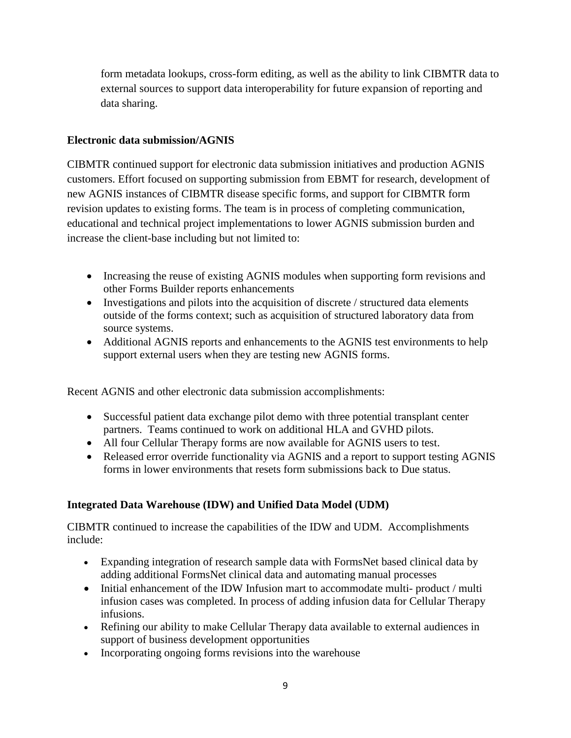form metadata lookups, cross-form editing, as well as the ability to link CIBMTR data to external sources to support data interoperability for future expansion of reporting and data sharing.

#### **Electronic data submission/AGNIS**

CIBMTR continued support for electronic data submission initiatives and production AGNIS customers. Effort focused on supporting submission from EBMT for research, development of new AGNIS instances of CIBMTR disease specific forms, and support for CIBMTR form revision updates to existing forms. The team is in process of completing communication, educational and technical project implementations to lower AGNIS submission burden and increase the client-base including but not limited to:

- Increasing the reuse of existing AGNIS modules when supporting form revisions and other Forms Builder reports enhancements
- Investigations and pilots into the acquisition of discrete / structured data elements outside of the forms context; such as acquisition of structured laboratory data from source systems.
- Additional AGNIS reports and enhancements to the AGNIS test environments to help support external users when they are testing new AGNIS forms.

Recent AGNIS and other electronic data submission accomplishments:

- Successful patient data exchange pilot demo with three potential transplant center partners. Teams continued to work on additional HLA and GVHD pilots.
- All four Cellular Therapy forms are now available for AGNIS users to test.
- Released error override functionality via AGNIS and a report to support testing AGNIS forms in lower environments that resets form submissions back to Due status.

# **Integrated Data Warehouse (IDW) and Unified Data Model (UDM)**

CIBMTR continued to increase the capabilities of the IDW and UDM. Accomplishments include:

- Expanding integration of research sample data with FormsNet based clinical data by adding additional FormsNet clinical data and automating manual processes
- Initial enhancement of the IDW Infusion mart to accommodate multi-product / multi infusion cases was completed. In process of adding infusion data for Cellular Therapy infusions.
- Refining our ability to make Cellular Therapy data available to external audiences in support of business development opportunities
- Incorporating ongoing forms revisions into the warehouse